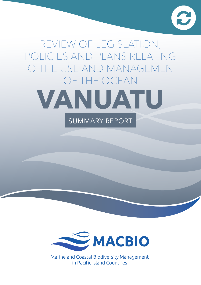

# Review of legislation, policies and plans relating to the USE AND MANAGEMENT OF the OCEAN **VANUATU** SUMMARY REPORT



Marine and Coastal Biodiversity Management in Pacific Island Countries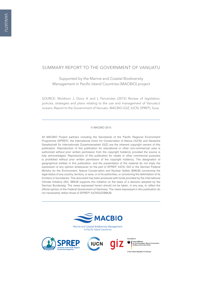#### SUMMARY Report to the Government of Vanuatu

Supported by the Marine and Coastal Biodiversity Management in Pacific Island Countries (MACBIO) project

SOURCE: Muldoon J, Dovo A and L Fernandes (2015) Review of legislation, policies, strategies and plans relating to the use and management of Vanuatu's oceans. Report to the Government of Vanuatu. MACBIO (GIZ, IUCN, SPREP), Suva.

#### © MACBIO 2015

All MACBIO Project partners including the Secretariat of the Pacific Regional Environment Programme (SPREP), the International Union for Conservation of Nature (IUCN) and Deutsche Gesellschaft für Internationale Zusammenarbeit (GIZ) are the inherent copyright owners of this publication. Reproduction of this publication for educational or other non-commercial uses is authorized without prior written permission from the copyright holder(s) provided the source is fully acknowledged. Reproduction of this publication for resale or other commercial purposes is prohibited without prior written permission of the copyright holder(s). The designation of geographical entities in this publication, and the presentation of the material do not imply the expression of any opinion whatsoever on the part of SPREP, IUCN, GIZ or the German Federal Ministry for the Environment, Nature Conservation and Nuclear Safety (BMUB) concerning the legal status of any country, territory, or area, or of its authorities, or concerning the delimitation of its frontiers or boundaries. This document has been produced with funds provided by the International Climate Initiative (IKI). BMUB supports this initiative on the basis of a decision adopted by the German Bundestag. The views expressed herein should not be taken, in any way, to reflect the official opinion of the Federal Government of Germany. The views expressed in this publication do not necessarily reflect those of SPREP/ IUCN/GIZ/BMUB.





of the Federal Republic of Germany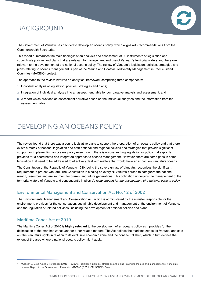# **BACKGROUND**



The Government of Vanuatu has decided to develop an oceans policy, which aligns with recommendations from the Commonwealth Secretariat.

This report summarises the main findings<sup>1</sup> of an analysis and assessment of 69 instruments of legislation and subordinate policies and plans that are relevant to management and use of Vanuatu's territorial waters and therefore relevant to the development of the national oceans policy. The review of Vanuatu's legislation, policies, strategies and plans relating to oceans management is part of the Marine and Coastal Biodiversity Management in Pacific Island Countries (MACBIO) project.

The approach to the review involved an analytical framework comprising three components:

- **1.** Individual analysis of legislation, policies, strategies and plans;
- **2.** Integration of individual analyses into an assessment table for comparative analysis and assessment; and
- **3.** A report which provides an assessment narrative based on the individual analyses and the information from the assessment table.

# Developing an oceans policy

The review found that there was a sound legislative basis to support the preparation of an oceans policy and that there exists a matrix of national legislation and both national and regional policies and strategies that provide significant support for implementing an oceans policy even though there is no overarching legislation or policy that explicitly provides for a coordinated and integrated approach to oceans management. However, there are some gaps in some legislation that need to be addressed to effectively deal with matters that would have an impact on Vanuatu's oceans.

The Constitution of the Republic of Vanuatu 1980, being the sovereign law of Vanuatu, recognises the significant requirement to protect Vanuatu. The Constitution is binding on every Ni-Vanuatu person to safeguard the national wealth, resources and environment for current and future generations. This obligation underpins the management of the territorial waters of Vanuatu and consequently implies *de facto support for the development of a national oceans policy.*

### Environmental Management and Conservation Act No. 12 of 2002

The Environmental Management and Conservation Act, which is administered by the minister responsible for the environment, provides for the conservation, sustainable development and management of the environment of Vanuatu, and the regulation of related activities, including the development of national policies and plans.

### Maritime Zones Act of 2010

The Maritime Zones Act of 2010 is **highly relevant** to the development of an oceans policy as it provides for the delimitation of the maritime zones and for other related matters. The Act defines the maritime zones for Vanuatu and sets out the Vanuatu's rights in relation to its exclusive economic zone and the continental shelf, which in turn defines the extent of the area where a national oceans policy might apply.

<sup>1</sup> Muldoon J, Dovo A and L Fernandes (2016) Review of legislation, policies, strategies and plans relating to the use and management of Vanuatu's oceans. Report to the Government of Vanuatu. MACBIO (GIZ, IUCN, SPREP), Suva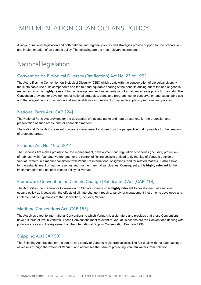# Implementation of an oceans policy

A range of national legislation and both national and regional policies and strategies provide support for the preparation and implementation of an oceans policy. The following are the most relevant instruments.

### National legislation

#### Convention on Biological Diversity (Ratification) Act No. 23 of 1992

The Act ratifies the Convention on Biological Diversity (CBD) which deals with the conservation of biological diversity, the sustainable use of its components and the fair and equitable sharing of the benefits arising out of the use of genetic resources, which is **highly relevant** to the development and implementation of a national oceans policy for Vanuatu. The Convention provides for development of national strategies, plans and programmes for conservation and sustainable use and the integration of conservation and sustainable use into relevant cross-sectoral plans, programs and policies.

### National Parks Act [CAP 224]

The National Parks Act provides for the declaration of national parks and nature reserves, for the protection and preservation of such areas, and for connected matters.

The National Parks Act is relevant to oceans management and use from the perspective that it provides for the creation of protected areas.

#### Fisheries Act No. 10 of 2014

The Fisheries Act makes provision for the management, development and regulation of fisheries (including protection of habitats) within Vanuatu waters, and for the control of fishing vessels entitled to fly the flag of Vanuatu outside of Vanuatu waters in a manner consistent with Vanuatu's international obligations, and for related matters. It also allows for the establishment of marine reserves and marine mammal sanctuaries. Consequently, it is **highly relevant** to the implementation of a national oceans policy for Vanuatu.

#### Framework Convention on Climate Change (Ratification) Act [CAP 218]

The Act ratifies the Framework Convention on Climate Change so is **highly relevant** to development of a national oceans policy as it deals with the effects of climate change through a variety of management instruments developed and implemented by signatories to the Convention, including Vanuatu.

#### Maritime Conventions Act [CAP 155]

The Act gives effect to international Conventions to which Vanuatu is a signatory and provides that these Conventions have full force of law in Vanuatu. Those Conventions most relevant to Vanuatu's oceans are the Conventions dealing with pollution at sea and the Agreement on the International Dolphin Conservation Program 1998.

#### Shipping Act [CAP 53]

The Shipping Act provides for the control and safety of Vanuatu registered vessels. The Act deals with the safe passage of vessels through the waters of Vanuatu and addresses the issue of protecting Vanuatu waters from pollution.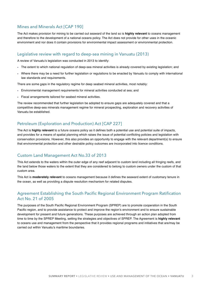### Mines and Minerals Act [CAP 190]

The Act makes provision for mining to be carried out seaward of the land so is **highly relevant** to oceans management and therefore to the development of a national oceans policy. The Act does not provide for other uses in the oceanic environment and nor does it contain provisions for environmental impact assessment or environmental protection.

#### Legislative review with regard to deep-sea mining in Vanuatu (2013)

A review of Vanuatu's legislation was conducted in 2013 to identify:

- The extent to which national regulation of deep-sea mineral activities is already covered by existing legislation; and
- Where there may be a need for further legislation or regulations to be enacted by Vanuatu to comply with international law standards and requirements.

There are some gaps in the regulatory regime for deep seabed mineral activities, most notably:

- Environmental management requirements for mineral activities conducted at sea; and
- Fiscal arrangements tailored for seabed mineral activities.

The review recommended that further legislation be adopted to ensure gaps are adequately covered and that a competitive deep-sea minerals management regime for mineral prospecting, exploration and recovery activities of Vanuatu be established.

### Petroleum (Exploration and Production) Act [CAP 227]

The Act is **highly relevant** to a future oceans policy as it defines both a potential use and potential suite of impacts, and provides for a means of spatial planning which raises the issue of potential conflicting policies and legislation with conservation provisions. However, this also provides an opportunity to engage with the relevant department(s) to ensure that environmental protection and other desirable policy outcomes are incorporated into licence conditions.

### Custom Land Management Act No.33 of 2013

This Act extends to the waters within the outer edge of any reef adjacent to custom land including all fringing reefs, and the land below those waters to the extent that they are considered to belong to custom owners under the custom of that custom area.

This Act is **moderately relevant** to oceans management because it defines the seaward extent of customary tenure in the ocean, as well as providing a dispute resolution mechanism for related disputes.

### Agreement Establishing the South Pacific Regional Environment Program Ratification Act No. 21 of 2005

The purposes of the South Pacific Regional Environment Program (SPREP) are to promote cooperation in the South Pacific region, and to provide assistance to protect and improve the region's environment and to ensure sustainable development for present and future generations. These purposes are achieved through an action plan adopted from time to time by the SPREP Meeting, setting the strategies and objectives of SPREP. The Agreement is **highly relevant** to oceans use and management from the perspective that it provides regional programs and initiatives that are/may be carried out within Vanuatu's maritime boundaries.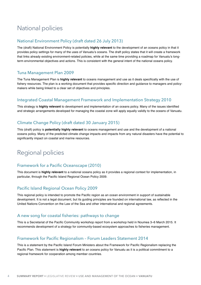# National policies

#### National Environment Policy (draft dated 26 July 2013)

The (draft) National Environment Policy is potentially **highly relevant** to the development of an oceans policy in that it provides policy settings for many of the uses of Vanuatu's oceans. The draft policy states that it will create a framework that links already existing environment-related policies, while at the same time providing a roadmap for Vanuatu's longterm environmental objectives and actions. This is consistent with the general intent of the national oceans policy.

#### Tuna Management Plan 2009

The Tuna Management Plan is **highly relevant** to oceans management and use as it deals specifically with the use of fishery resources. The plan is a working document that provides specific direction and guidance to managers and policymakers while being linked to a clear set of objectives and principles.

#### Integrated Coastal Management Framework and Implementation Strategy 2010

This strategy is **highly relevant** to development and implementation of an oceans policy. Many of the issues identified and strategic arrangements developed for managing the coastal zone will apply equally validly to the oceans of Vanuatu.

### Climate Change Policy (draft dated 30 January 2015)

This (draft) policy is **potentially highly relevant** to oceans management and use and the development of a national oceans policy. Many of the predicted climate change impacts and impacts from any natural disasters have the potential to significantly impact on coastal and marine resources.

# Regional policies

#### Framework for a Pacific Oceanscape (2010)

This document is **highly relevant** to a national oceans policy as it provides a regional context for implementation, in particular, through the Pacific Island Regional Ocean Policy 2009.

#### Pacific Island Regional Ocean Policy 2009

This regional policy is intended to promote the Pacific region as an ocean environment in support of sustainable development. It is not a legal document, but its guiding principles are founded on international law, as reflected in the United Nations Convention on the Law of the Sea and other international and regional agreements.

#### A new song for coastal fisheries: pathways to change

This is a Secretariat of the Pacific Community workshop report from a workshop held in Noumea 3–6 March 2015. It recommends development of a strategy for community-based ecosystem approaches to fisheries management.

#### Framework for Pacific Regionalism – Forum Leaders Statement 2014

This is a statement by the Pacific Island Forum Ministers about the Framework for Pacific Regionalism replacing the Pacific Plan. This statement is **highly relevant** to an oceans policy for Vanuatu as it is a political commitment to a regional framework for cooperation among member countries.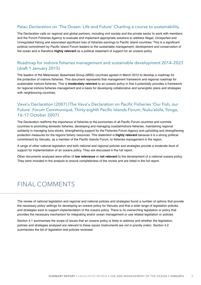### Palau Declaration on 'The Ocean: Life and Future' Charting a course to sustainability

The Declaration calls on regional and global partners, including civil society and the private sector to work with members and the Forum Fisheries Agency to evaluate and implement appropriate solutions to address Illegal, Unreported and Unregulated fishing and associated significant loss of fisheries earnings to Pacific Island countries. This is a significant political commitment by Pacific Island Forum leaders to the sustainable management, development and conservation of the ocean and is therefore **highly relevant** as a political statement of support for an oceans policy.

#### Roadmap for inshore fisheries management and sustainable development 2014–2023 (draft 1 January 2015)

The leaders of the Melanesian Spearhead Group (MSG) countries agreed in March 2012 to develop a roadmap for the protection of inshore fisheries. This document represents that management framework and regional roadmap for sustainable inshore fisheries. This is **moderately relevant** to an oceans policy in that it potentially provides a framework for regional inshore fisheries management and a basis for developing collaborative and synergistic plans and strategies with neighbouring countries.

### Vava'u Declaration (2007) (The Vava'u Declaration on Pacific Fisheries 'Our Fish, our Future'. Forum Communiqué, Thirty-eighth Pacific Islands Forum, Nuku'alofa, Tonga, 16–17 October 2007)

The Declaration reaffirms the importance of fisheries to the economies of all Pacific Forum countries and commits countries to promoting domestic fisheries, developing and managing coastal/inshore fisheries, maintaining regional solidarity in managing tuna stocks, strengthening support for the Fisheries Forum Agency and upholding and strengthening protection measures for the regions fishery resources. This statement is **highly relevant** because it is a strong political commitment by Vanuatu, as a member of the Pacific Islands Forum, to fisheries management in the region.

A range of other national legislation and both national and regional policies and strategies provide a moderate level of support for implementation of an oceans policy. They are discussed in the full report.

Other documents analysed were either of **low relevance** or **not relevant** to the development of a national oceans policy. They were included in the analysis to ensure completeness of the review and are listed in the full report.

# Final comments

The review of national legislation and regional and national policies and strategies found a number of options that provide the necessary policy settings for developing an oceans policy for Vanuatu and that a wide range of legislation policies and strategies exist to support implementation of the oceans policy. There is no overarching legislation or policy that provides the necessary mechanism for integrating and/or ocean management or use related legislation or policies.

Section 4.1 summarises the scope of issues that an oceans policy is likely to address and whether the legislation, policies and strategies analysed are relevant to these issues (instruments are not in priority order). Section 4.2 summarises the list of legislation and policies reviewed.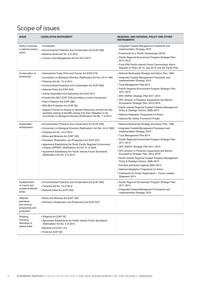# Scope of issues

| <b>ISSUE</b>                                                          | <b>LEGISLATIVE INSTRUMENT</b>                                                                                                                                                                                                                                                                                                                                                                                                                                                                                                                                                                                                                                                      | REGIONAL AND NATIONAL POLICY AND OTHER<br><b>INSTRUMENTS</b>                                                                                                                                                                                                                                                                                                                                                                                                                                                                                                                                                                                     |
|-----------------------------------------------------------------------|------------------------------------------------------------------------------------------------------------------------------------------------------------------------------------------------------------------------------------------------------------------------------------------------------------------------------------------------------------------------------------------------------------------------------------------------------------------------------------------------------------------------------------------------------------------------------------------------------------------------------------------------------------------------------------|--------------------------------------------------------------------------------------------------------------------------------------------------------------------------------------------------------------------------------------------------------------------------------------------------------------------------------------------------------------------------------------------------------------------------------------------------------------------------------------------------------------------------------------------------------------------------------------------------------------------------------------------------|
| Ability to develop<br>a national oceans<br>policy                     | ■ Constitution<br>■ Environmental Protection and Conservation Act [CAP 283]<br>• Maritime Zones Act No. 6 of 2010<br>Custom Land Management Act No.33 of 2013                                                                                                                                                                                                                                                                                                                                                                                                                                                                                                                      | Integrated Coastal Management Framework and<br>Implementation Strategy, 2010<br>■ Framework for a Pacific Oceanscape (2010)<br>■ Pacific Regional Environment Program Strategic Plan,<br>2011-2015<br>- Forty-Fifth Pacific Islands Forum Communiqué (Koror,<br>Republic of Palau 29-31 July 2014) and the Pacific Plan                                                                                                                                                                                                                                                                                                                          |
| Conservation of<br>biodiversity                                       | International Trade (Flora and Fauna) Act [CAP 210]<br>■ Convention on Biological Diversity (Ratification) Act No. 23 of 1992<br>■ Fisheries Act No. 10 of 2014<br>■ Environmental Protection and Conservation Act [CAP 283]<br>• National Parks Act [CAP 224]<br>• Animal Importation and Quarantine Act [CAP 201]<br>■ Forestry Act 2001 [CAP 276] (providing it covers mangroves)<br>- Plant Protection Act [CAP 239]<br>. Wild Bird Protection Act [CAP 30]<br>- Nagoya Protocol on Access to Genetic Resources and the fair and<br>equitable sharing of benefits arising from their Utilization to the<br>Convention on Biological Diversity (Ratification) Act No. 7 of 2014 | • National Biodiversity Strategy and Action Plan, 1999<br>Integrated Coastal Management Framework and<br>Implementation Strategy, 2010<br>■ Tuna Management Plan 2014<br>■ Pacific Regional Environment Program Strategic Plan,<br>2011-2015<br>SPC SOPAC Strategic Plan 2011-2015<br>SPC Division of Fisheries, Aquaculture and Marine<br>Ecosystems Strategic Plan, 2013-2016<br>- Pacific Islands Regional Coastal Fisheries Management<br>Policy & Strategic Actions, 2008-2013<br>• National Adaptation Programme for Action<br>National Bio Safety Framework Project                                                                       |
| Sustainable<br>development                                            | Environmental Protection and Conservation Act [CAP 283]<br>Convention on Biological Diversity (Ratification) (Act No. 23 of 1992)<br>- Fisheries Act No. 10 of 2014<br>• Mines and Minerals Act [CAP 190]<br>- Petroleum (Exploration and Production) Act [CAP 227]<br><b>Agreement Establishing the South Pacific Regional Environment</b><br>Program (SPREP) (Ratification) Act No. 21 of 2005<br><b>Agreement Establishing the Pacific Islands Forum Secretariat</b><br>(Ratification) Act No. 4 of 2012                                                                                                                                                                        | National Biodiversity Strategy and Action Plan, 1999<br>Integrated Coastal Management Framework and<br>Implementation Strategy, 2010<br>■ Tuna Management Plan 2014<br>■ Pacific Regional Environment Program Strategic Plan,<br>2011-2015<br>SPC SOPAC Strategic Plan 2011-2015<br>SPC Division of Fisheries, Aquaculture and Marine<br>Ecosystems Strategic Plan, 2013-2016<br>■ Pacific Islands Regional Coastal Fisheries Management<br>Policy & Strategic Actions, 2008-2013<br>Priorities and Action Agenda 2006–2015<br>• National Adaptation Programme for Action<br>Framework for Pacific Regionalism - Forum Leaders<br>Statement 2014 |
| Establishment<br>or marine and<br>coastal protected<br>areas          | ■ Environmental Protection and Conservation Act [CAP 283]<br>Eisheries Act No. 10 of 2014<br>• National Parks Act [CAP 224]                                                                                                                                                                                                                                                                                                                                                                                                                                                                                                                                                        | - Pacific Regional Environment Program Strategic Plan,<br>2011–2015<br>Integrated Coastal Management Framework and<br>Implementation Strategy, 2010                                                                                                                                                                                                                                                                                                                                                                                                                                                                                              |
| Offshore<br>petroleum<br>and mineral<br>prospecting and<br>production | . Mines and Minerals Act [CAP 190]<br>- Petroleum (Exploration and Production) Act [CAP 227]                                                                                                                                                                                                                                                                                                                                                                                                                                                                                                                                                                                       |                                                                                                                                                                                                                                                                                                                                                                                                                                                                                                                                                                                                                                                  |
| Shipping<br>including<br>discharge of<br>ballast water                | ■ Shipping Act [CAP 53]<br>Agreement Establishing the Pacific Islands Forum Secretariat<br>(Ratification) Act No. 4 of 2012<br>- Maritime Act [CAP 131]<br>■ Ports Act [CAP 26]                                                                                                                                                                                                                                                                                                                                                                                                                                                                                                    |                                                                                                                                                                                                                                                                                                                                                                                                                                                                                                                                                                                                                                                  |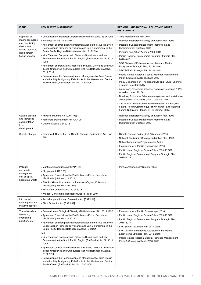| <b>ISSUE</b>                                                                                                                     | <b>LEGISLATIVE INSTRUMENT</b>                                                                                                                                                                                                                                                                                                                                                                                                                                                                                                                                                                                                                                                                                                                                                                                                                                                             | <b>REGIONAL AND NATIONAL POLICY AND OTHER</b><br><b>INSTRUMENTS</b>                                                                                                                                                                                                                                                                                                                                                                                                                                                                                                                                                                                                                                                                                                                                                                                                                                                                                                                                        |
|----------------------------------------------------------------------------------------------------------------------------------|-------------------------------------------------------------------------------------------------------------------------------------------------------------------------------------------------------------------------------------------------------------------------------------------------------------------------------------------------------------------------------------------------------------------------------------------------------------------------------------------------------------------------------------------------------------------------------------------------------------------------------------------------------------------------------------------------------------------------------------------------------------------------------------------------------------------------------------------------------------------------------------------|------------------------------------------------------------------------------------------------------------------------------------------------------------------------------------------------------------------------------------------------------------------------------------------------------------------------------------------------------------------------------------------------------------------------------------------------------------------------------------------------------------------------------------------------------------------------------------------------------------------------------------------------------------------------------------------------------------------------------------------------------------------------------------------------------------------------------------------------------------------------------------------------------------------------------------------------------------------------------------------------------------|
| Depletion of<br>marine resources<br>e.g. overfishing,<br>destructive<br>fishing practices,<br>illegal foreign<br>fishing vessels | Convention on Biological Diversity (Ratification) Act No. 23 of 1992<br>- Fisheries Act No. 10 of 2014<br>Agreement on strengthening Implementation on the Niue Treaty on<br>Cooperation in Fisheries surveillance and Law Enforcement in the<br>South Pacific Region (Ratification) Act No. 2 of 2014<br>. Niue Treaty on Cooperation in Fisheries Surveillance and law<br>Enforcement in the South Pacific Region (Ratification) Act No.10 of<br>1993<br>Agreement on Port State Measures to Prevent, Deter and Eliminate<br>Illegal, Unreported and Unregulated Fishing (Ratification) Act No.<br>23 of 2013<br>• Convention on the Conservation and Management of Tuna Stocks<br>and other Highly Migratory Fish Stocks in the Western and Central<br>Pacific Ocean (Ratification) Act No. 17 of 2005                                                                                 | ■ Tuna Management Plan 2014<br>• National Biodiversity Strategy and Action Plan, 1999<br>Integrated Coastal Management Framework and<br>Implementation Strategy, 2010<br>Priorities and Action Agenda 2006-2015<br>- Pacific Regional Environment Program Strategic Plan,<br>2011-015<br>SPC Division of Fisheries, Aquaculture and Marine<br>Ecosystems Strategic Plan, 2013-2016<br>SPC SOPAC Strategic Plan 2011-2015<br>- Pacific Islands Regional Coastal Fisheries Management<br>Policy & Strategic Actions, 2008-2013<br>. Palau Declaration on 'The Ocean: Life and Future' Charting<br>a course to sustainability<br>A new song for coastal fisheries: Pathways to change (SPC<br>workshop report 2015)<br>• Roadmap for inshore fisheries management and sustainable<br>development 2014-2023 (draft 1 January 2015)<br>. The Vava'u Declaration on Pacific Fisherie 'Our Fish, our<br>Future'. Forum Communiqué, Thirty-eighth Pacific Islands<br>Forum, Nuku'alofa, Tonga, 16-17 October 2007. |
| Coastal erosion<br>and increased<br>sedimentation<br>from<br>development                                                         | • Physical Planning Act [CAP 193]<br>■ Foreshore Development Act [CAP 90]<br>Quarries Act No 9 of 2013                                                                                                                                                                                                                                                                                                                                                                                                                                                                                                                                                                                                                                                                                                                                                                                    | . National Biodiversity Strategy and Action Plan, 1999<br>Integrated Coastal Management Framework and<br>Implementation Strategy, 2010                                                                                                                                                                                                                                                                                                                                                                                                                                                                                                                                                                                                                                                                                                                                                                                                                                                                     |
| Climate change                                                                                                                   | Framework Convention on Climate Change (Ratification) Act [CAP<br>218]                                                                                                                                                                                                                                                                                                                                                                                                                                                                                                                                                                                                                                                                                                                                                                                                                    | • Climate Change Policy (draft 30 January 2015)<br>• National Biodiversity Strategy and Action Plan, 1999<br>• National Adaptation Programme for Action<br>■ Framework for a Pacific Oceanscape (2010)<br>- Pacific Island Regional Ocean Policy 2009 (PIROP)<br>■ Pacific Regional Environment Program Strategic Plan,<br>2011-2015                                                                                                                                                                                                                                                                                                                                                                                                                                                                                                                                                                                                                                                                       |
| Pollution<br>and waste<br>management<br>e.g. oil spills,<br>hazardous waste<br>Introduced                                        | • Maritime Conventions Act [CAP 155]<br>■ Shipping Act [CAP 53]<br>Agreement Establishing the Pacific Islands Forum Secretariat<br>(Ratification) Act No. 4 of 2012<br>. The Stockholm Convention on Persistent Organic Pollutants<br>(Ratification) Act No. 12 of 2005<br>■ Pollution (Control) Act No. 10 of 2013<br>• Waigani Convention (Ratification) Act No. 16 of 2007<br>• Animal Importation and Quarantine Act [CAP 201]                                                                                                                                                                                                                                                                                                                                                                                                                                                        | - Persistent Organic Pollutants Policy                                                                                                                                                                                                                                                                                                                                                                                                                                                                                                                                                                                                                                                                                                                                                                                                                                                                                                                                                                     |
| marine pests and<br>invasive species                                                                                             | - Plant Protection Act [CAP 239]                                                                                                                                                                                                                                                                                                                                                                                                                                                                                                                                                                                                                                                                                                                                                                                                                                                          |                                                                                                                                                                                                                                                                                                                                                                                                                                                                                                                                                                                                                                                                                                                                                                                                                                                                                                                                                                                                            |
| Trans-boundary<br>Issues e.g.<br>overfishing,<br>pollution, etc.                                                                 | Convention on Biological Diversity (Ratification) Act No. 23 of 1992<br>Agreement Establishing the Pacific Islands Forum Secretariat<br>(Ratification) Act No. 4 of 2012<br><b>Agreement on strengthening Implementation on the Niue Treaty on</b><br>Cooperation in Fisheries surveillance and Law Enforcement in the<br>South Pacific Region (Ratification) Act No. 2 of 2014<br>and<br>• Niue Treaty on Cooperation in Fisheries Surveillance and law<br>Enforcement in the South Pacific Region (Ratification) Act No.10 of<br>1993<br>Agreement on Port State Measures to Prevent, Deter and Eliminate<br>Illegal, Unreported and Unregulated Fishing (Ratification) Act No.<br>23 of 2013<br>• Convention on the Conservation and Management of Tuna Stocks<br>and other Highly Migratory Fish Stocks in the Western and Central<br>Pacific Ocean (Ratification) Act No. 17 of 2005 | Framework for a Pacific Oceanscape (2010)<br>- Pacific Island Regional Ocean Policy 2009 (PIROP)<br>■ Pacific Regional Environment Program Strategic Plan,<br>2011-2015<br>SPC SOPAC Strategic Plan 2011-2015<br>• SPC Division of Fisheries, Aquaculture and Marine<br>Ecosystems Strategic Plan, 2013-2016<br>- Pacific Islands Regional Coastal Fisheries Management<br>Policy & Strategic Actions, 2008-2013                                                                                                                                                                                                                                                                                                                                                                                                                                                                                                                                                                                           |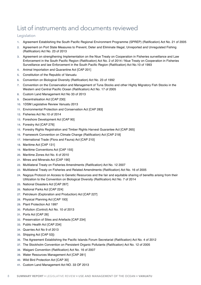# List of instruments and documents reviewed

#### Legislation

- **1.** Agreement Establishing the South Pacific Regional Environment Programme (SPREP) (Ratification) Act No. 21 of 2005
- **2.** Agreement on Port State Measures to Prevent, Deter and Eliminate Illegal, Unreported and Unregulated Fishing (Ratification) Act No. 23 of 2013
- **3.** Agreement on strengthening Implementation on the Niue Treaty on Cooperation in Fisheries surveillance and Law Enforcement in the South Pacific Region (Ratification) Act No. 2 of 2014 / Niue Treaty on Cooperation in Fisheries Surveillance and law Enforcement in the South Pacific Region (Ratification) Act No.10 of 1993
- **4.** Animal Importation and Quarantine Act [CAP 201]
- **5.** Constitution of the Republic of Vanuatu
- **6.** Convention on Biological Diversity (Ratification) Act No. 23 of 1992
- **7.** Convention on the Conservation and Management of Tuna Stocks and other Highly Migratory Fish Stocks in the Western and Central Pacific Ocean (Ratification) Act No. 17 of 2005
- **8.** Custom Land Management Act No 33 of 2013
- **9.** Decentralisation Act [CAP 230]
- **10.** 1DSM Legislative Review Vanuatu 2013
- **11.** Environmental Protection and Conservation Act [CAP 283]
- **12.** Fisheries Act No.10 of 2014
- **13.** Foreshore Development Act [CAP 90]
- **14.** Forestry Act [CAP 276]
- **15.** Forestry Rights Registration and Timber Rights Harvest Guarantee Act [CAP 265]
- **16.** Framework Convention on Climate Change (Ratification) Act [CAP 218]
- **17.** International Trade (Flora and Fauna) Act [CAP 210]
- **18.** Maritime Act [CAP 131]
- **19.** Maritime Conventions Act [CAP 155]
- **20.** Maritime Zones Act No. 6 of 2010
- **21.** Mines and Minerals Act [CAP 190]
- **22.** Multilateral Treaty on Fisheries Amendments (Ratification) Act No. 12 2007
- **23.** Multilateral Treaty on Fisheries and Related Amendments (Ratification) Act No. 16 of 2005
- **24.** Nagoya Protocol on Access to Genetic Resources and the fair and equitable sharing of benefits arising from their Utilization to the Convention on Biological Diversity (Ratification) Act No. 7 of 2014
- **25.** National Disasters Act [CAP 267]
- **26.** National Parks Act [CAP 224]
- **27.** Petroleum (Exploration and Production) Act [CAP 227]
- **28.** Physical Planning Act [CAP 193]
- **29.** Plant Protection Act 1997
- **30.** Pollution (Control) Act No. 10 of 2013
- **31.** Ports Act [CAP 26]
- **32.** Preservation of Sites and Artefacts [CAP 234]
- **33.** Public Health Act [CAP 234]
- **34.** Quarries Act No 9 of 2013
- **35.** Shipping Act [CAP 53])
- **36.** The Agreement Establishing the Pacific Islands Forum Secretariat (Ratification) Act No. 4 of 2012
- **37.** The Stockholm Convention on Persistent Organic Pollutants (Ratification) Act No. 12 of 2005
- **38.** Waigani Convention (Ratification) Act No. 16 of 2007
- **39.** Water Resources Management Act [CAP 281]
- **40.** Wild Bird Protection Act [CAP 30]
- **41.** Custom Land Management Act NO. 33 OF 2013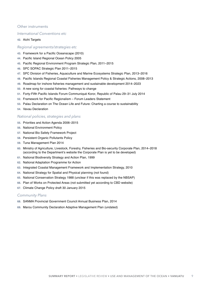#### Other instruments

#### *International Conventions etc*

#### **42.** Aichi Targets

#### *Regional agreements/strategies etc*

- **43.** Framework for a Pacific Oceanscape (2010)
- **44.** Pacific Island Regional Ocean Policy 2005
- **45.** Pacific Regional Environment Program Strategic Plan, 2011–2015
- **46.** SPC SOPAC Strategic Plan 2011–2015
- **47.** SPC Division of Fisheries, Aquaculture and Marine Ecosystems Strategic Plan, 2013–2016
- **48.** Pacific Islands Regional Coastal Fisheries Management Policy & Strategic Actions, 2008–2013
- **49.** Roadmap for inshore fisheries management and sustainable development 2014–2023
- **50.** A new song for coastal fisheries: Pathways to change
- **51.** Forty-Fifth Pacific Islands Forum Communiqué Koror, Republic of Palau 29–31 July 2014
- **52.** Framework for Pacific Regionalism Forum Leaders Statement
- **53.** Palau Declaration on The Ocean Life and Future: Charting a course to sustainability
- **54.** Vavau Declaration

#### *National policies, strategies and plans*

- **55.** Priorities and Action Agenda 2006–2015
- **56.** National Environment Policy
- **57.** National Bio Safety Framework Project
- **58.** Persistent Organic Pollutants Policy
- **59.** Tuna Management Plan 2014
- **60.** Ministry of Agriculture, Livestock, Forestry, Fisheries and Bio-security Corporate Plan, 2014–2018 (according to the Department's website the Corporate Plan is yet to be developed)
- **61.** National Biodiversity Strategy and Action Plan, 1999
- **62.** National Adaptation Programme for Action
- **63.** Integrated Coastal Management Framework and Implementation Strategy, 2010
- **64.** National Strategy for Spatial and Physical planning (not found)
- **65.** National Conservation Strategy 1988 (unclear if this was replaced by the NBSAP)
- **66.** Plan of Works on Protected Areas (not submitted yet according to CBD website)
- **67.** Climate Change Policy draft 30 January 2015

#### *Community Plans*

- **68.** SANMA Provincial Government Council Annual Business Plan, 2014
- **69.** Marou Community Declaration Adaptive Management Plan (undated)